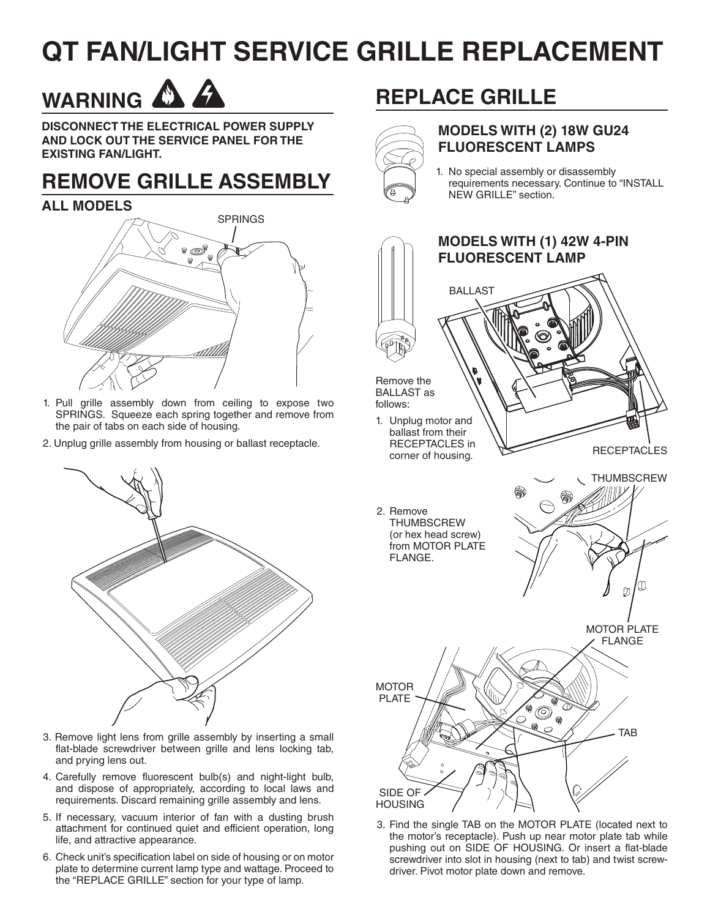## **QT FAN/LIGHT SERVICE GRILLE REPLACEMENT**

# WARNING A

**DISCONNECT THE ELECTRICAL POWER SUPPLY AND LOCK OUT THE SERVICE PANEL FOR THE EXISTING FAN/LIGHT.**

### **REMOVE GRILLE ASSEMBLY**

#### **ALL MODELS**



- 1. Pull grille assembly down from ceiling to expose two SPRINGS. Squeeze each spring together and remove from the pair of tabs on each side of housing.
- 2. Unplug grille assembly from housing or ballast receptacle.



- 3. Remove light lens from grille assembly by inserting a small flat-blade screwdriver between grille and lens locking tab, and prying lens out.
- 4. Carefully remove fluorescent bulb(s) and night-light bulb, and dispose of appropriately, according to local laws and requirements. Discard remaining grille assembly and lens.
- 5. If necessary, vacuum interior of fan with a dusting brush attachment for continued quiet and efficient operation, long life, and attractive appearance.
- 6. Check unit's specification label on side of housing or on motor plate to determine current lamp type and wattage. Proceed to the "REPLACE GRILLE" section for your type of lamp.

### **REPLACE GRILLE**



#### **MODELS WITH (2) 18W GU24 FLUORESCENT LAMPS**

1. No special assembly or disassembly requirements necessary. Continue to "INSTALL NEW GRILLE" section.



3. Find the single TAB on the MOTOR PLATE (located next to the motor's receptacle). Push up near motor plate tab while pushing out on SIDE OF HOUSING. Or insert a flat-blade screwdriver into slot in housing (next to tab) and twist screwdriver. Pivot motor plate down and remove.